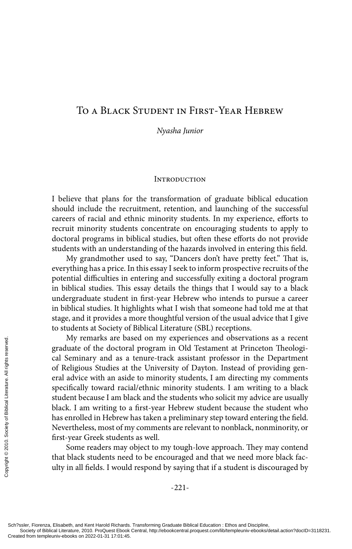# To a Black Student in First-Year Hebrew

*Nyasha Junior*

#### **INTRODUCTION**

I believe that plans for the transformation of graduate biblical education should include the recruitment, retention, and launching of the successful careers of racial and ethnic minority students. In my experience, efforts to recruit minority students concentrate on encouraging students to apply to doctoral programs in biblical studies, but often these efforts do not provide students with an understanding of the hazards involved in entering this field.

My grandmother used to say, "Dancers don't have pretty feet." That is, everything has a price. In this essay I seek to inform prospective recruits of the potential difficulties in entering and successfully exiting a doctoral program in biblical studies. This essay details the things that I would say to a black undergraduate student in first-year Hebrew who intends to pursue a career in biblical studies. It highlights what I wish that someone had told me at that stage, and it provides a more thoughtful version of the usual advice that I give to students at Society of Biblical Literature (SBL) receptions.

My remarks are based on my experiences and observations as a recent graduate of the doctoral program in Old Testament at Princeton Theological Seminary and as a tenure-track assistant professor in the Department of Religious Studies at the University of Dayton. Instead of providing general advice with an aside to minority students, I am directing my comments specifically toward racial/ethnic minority students. I am writing to a black student because I am black and the students who solicit my advice are usually black. I am writing to a first-year Hebrew student because the student who has enrolled in Hebrew has taken a preliminary step toward entering the field. Nevertheless, most of my comments are relevant to nonblack, nonminority, or first-year Greek students as well. My remarks are ba<br>
graduate of the doctora<br>
cal Seminary and as a<br>
of Religious Studies at<br>
eral advice with an asid<br>
specifically toward raciis<br>
student because I am blis<br>
black. I am writing to a<br>
has enrolled in Hebrew

Some readers may object to my tough-love approach. They may contend that black students need to be encouraged and that we need more black faculty in all fields. I would respond by saying that if a student is discouraged by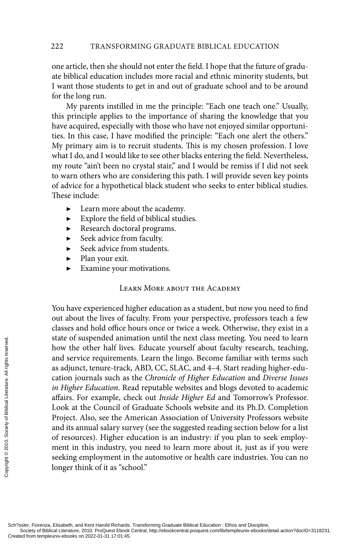one article, then she should not enter the field. I hope that the future of graduate biblical education includes more racial and ethnic minority students, but I want those students to get in and out of graduate school and to be around for the long run.

My parents instilled in me the principle: "Each one teach one." Usually, this principle applies to the importance of sharing the knowledge that you have acquired, especially with those who have not enjoyed similar opportunities. In this case, I have modified the principle: "Each one alert the others." My primary aim is to recruit students. This is my chosen profession. I love what I do, and I would like to see other blacks entering the field. Nevertheless, my route "ain't been no crystal stair," and I would be remiss if I did not seek to warn others who are considering this path. I will provide seven key points of advice for a hypothetical black student who seeks to enter biblical studies. These include:

- ▶ Learn more about the academy.
- Explore the field of biblical studies.
- Research doctoral programs.
- ▶ Seek advice from faculty.
- Seek advice from students.
- Plan your exit.
- Examine your motivations.

# Learn More about the Academy

You have experienced higher education as a student, but now you need to find out about the lives of faculty. From your perspective, professors teach a few classes and hold office hours once or twice a week. Otherwise, they exist in a state of suspended animation until the next class meeting. You need to learn how the other half lives. Educate yourself about faculty research, teaching, and service requirements. Learn the lingo. Become familiar with terms such as adjunct, tenure-track, ABD, CC, SLAC, and 4–4. Start reading higher-education journals such as the *Chronicle of Higher Education* and *Diverse Issues in Higher Education*. Read reputable websites and blogs devoted to academic affairs. For example, check out *Inside Higher Ed* and Tomorrow's Professor. Look at the Council of Graduate Schools website and its Ph.D. Completion Project. Also, see the American Association of University Professors website and its annual salary survey (see the suggested reading section below for a list of resources). Higher education is an industry: if you plan to seek employment in this industry, you need to learn more about it, just as if you were seeking employment in the automotive or health care industries. You can no longer think of it as "school." State of suspended anim<br>
how the other half live<br>
and service requiremen<br>
as adjunct, tenure-track<br>
cation journals such as<br> *in Higher Education*. Re<br>
affairs. For example, ch<br>
Look at the Council of<br>
Project. Also, see t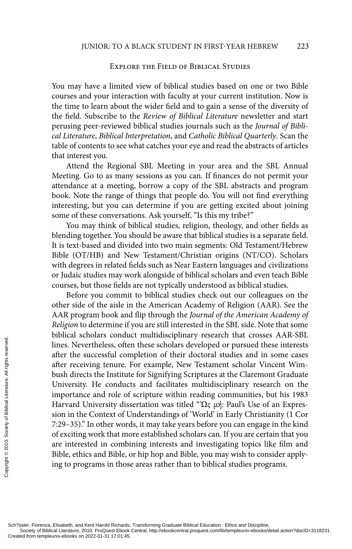#### Explore the Field of Biblical Studies

You may have a limited view of biblical studies based on one or two Bible courses and your interaction with faculty at your current institution. Now is the time to learn about the wider field and to gain a sense of the diversity of the field. Subscribe to the *Review of Biblical Literature* newsletter and start perusing peer-reviewed biblical studies journals such as the *Journal of Biblical Literature*, *Biblical Interpretation*, and *Catholic Biblical Quarterly*. Scan the table of contents to see what catches your eye and read the abstracts of articles that interest you.

Attend the Regional SBL Meeting in your area and the SBL Annual Meeting. Go to as many sessions as you can. If finances do not permit your attendance at a meeting, borrow a copy of the SBL abstracts and program book. Note the range of things that people do. You will not find everything interesting, but you can determine if you are getting excited about joining some of these conversations. Ask yourself, "Is this my tribe?"

You may think of biblical studies, religion, theology, and other fields as blending together. You should be aware that biblical studies is a separate field. It is text-based and divided into two main segments: Old Testament/Hebrew Bible (OT/HB) and New Testament/Christian origins (NT/CO). Scholars with degrees in related fields such as Near Eastern languages and civilizations or Judaic studies may work alongside of biblical scholars and even teach Bible courses, but those fields are not typically understood as biblical studies.

Before you commit to biblical studies check out our colleagues on the other side of the aisle in the American Academy of Religion (AAR). See the AAR program book and flip through the *Journal of the American Academy of Religion* to determine if you are still interested in the SBL side. Note that some biblical scholars conduct multidisciplinary research that crosses AAR-SBL lines. Nevertheless, often these scholars developed or pursued these interests after the successful completion of their doctoral studies and in some cases after receiving tenure. For example, New Testament scholar Vincent Wimbush directs the Institute for Signifying Scriptures at the Claremont Graduate University. He conducts and facilitates multidisciplinary research on the importance and role of scripture within reading communities, but his 1983 Harvard University dissertation was titled "Ώς μή: Paul's Use of an Expression in the Context of Understandings of 'World' in Early Christianity (1 Cor 7:29–35)." In other words, it may take years before you can engage in the kind of exciting work that more established scholars can. If you are certain that you are interested in combining interests and investigating topics like film and Bible, ethics and Bible, or hip hop and Bible, you may wish to consider applying to programs in those areas rather than to biblical studies programs. Exerces the successful contains obtained lines. Nevertheless, ofte<br>after the successful con<br>after receiving tenure. I<br>bush directs the Institut<br>University. He conduce<br>importance and role of<br>Harvard University diss<br>sion in

Sch?ssler, Fiorenza, Elisabeth, and Kent Harold Richards. Transforming Graduate Biblical Education : Ethos and Discipline,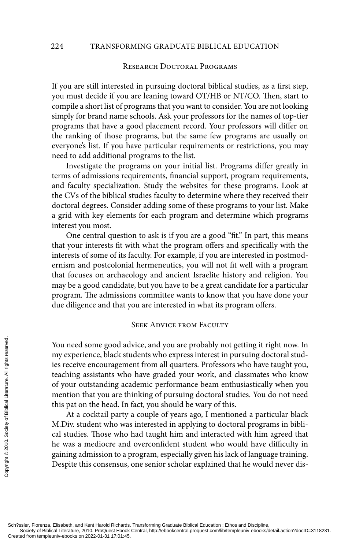#### 224 TRANSFORMING GRADUATE BIBLICAL EDUCATION

### Research Doctoral Programs

If you are still interested in pursuing doctoral biblical studies, as a first step, you must decide if you are leaning toward OT/HB or NT/CO. Then, start to compile a short list of programs that you want to consider. You are not looking simply for brand name schools. Ask your professors for the names of top-tier programs that have a good placement record. Your professors will differ on the ranking of those programs, but the same few programs are usually on everyone's list. If you have particular requirements or restrictions, you may need to add additional programs to the list.

Investigate the programs on your initial list. Programs differ greatly in terms of admissions requirements, financial support, program requirements, and faculty specialization. Study the websites for these programs. Look at the CVs of the biblical studies faculty to determine where they received their doctoral degrees. Consider adding some of these programs to your list. Make a grid with key elements for each program and determine which programs interest you most.

One central question to ask is if you are a good "fit." In part, this means that your interests fit with what the program offers and specifically with the interests of some of its faculty. For example, if you are interested in postmodernism and postcolonial hermeneutics, you will not fit well with a program that focuses on archaeology and ancient Israelite history and religion. You may be a good candidate, but you have to be a great candidate for a particular program. The admissions committee wants to know that you have done your due diligence and that you are interested in what its program offers.

### Seek Advice from Faculty

You need some good advice, and you are probably not getting it right now. In my experience, black students who express interest in pursuing doctoral studies receive encouragement from all quarters. Professors who have taught you, teaching assistants who have graded your work, and classmates who know of your outstanding academic performance beam enthusiastically when you mention that you are thinking of pursuing doctoral studies. You do not need this pat on the head. In fact, you should be wary of this. CREAT FORGORAL EXERCT FORGORAL EXERCT FROM THE SOCIETY OF SOCIETY OF SOCIETY AND THE MANUSOR COPYRIGHT OF SOCIETY OF SOCIETY OF SOCIETY OF SOCIETY OF SOCIETY OF SOCIETY OF SOCIETY OF SOCIETY OF SOCIETY OF SOCIETY OF SOCIE

At a cocktail party a couple of years ago, I mentioned a particular black M.Div. student who was interested in applying to doctoral programs in biblical studies. Those who had taught him and interacted with him agreed that he was a mediocre and overconfident student who would have difficulty in gaining admission to a program, especially given his lack of language training. Despite this consensus, one senior scholar explained that he would never dis-

Sch?ssler, Fiorenza, Elisabeth, and Kent Harold Richards. Transforming Graduate Biblical Education : Ethos and Discipline,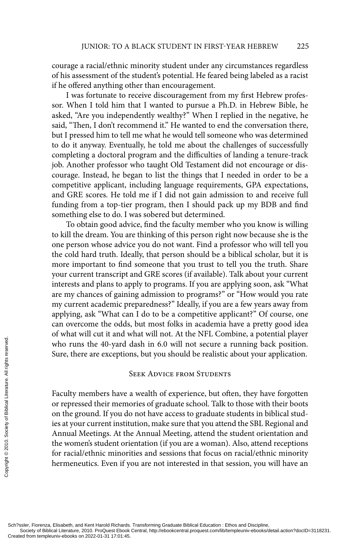courage a racial/ethnic minority student under any circumstances regardless of his assessment of the student's potential. He feared being labeled as a racist if he offered anything other than encouragement.

I was fortunate to receive discouragement from my first Hebrew professor. When I told him that I wanted to pursue a Ph.D. in Hebrew Bible, he asked, "Are you independently wealthy?" When I replied in the negative, he said, "Then, I don't recommend it." He wanted to end the conversation there, but I pressed him to tell me what he would tell someone who was determined to do it anyway. Eventually, he told me about the challenges of successfully completing a doctoral program and the difficulties of landing a tenure-track job. Another professor who taught Old Testament did not encourage or discourage. Instead, he began to list the things that I needed in order to be a competitive applicant, including language requirements, GPA expectations, and GRE scores. He told me if I did not gain admission to and receive full funding from a top-tier program, then I should pack up my BDB and find something else to do. I was sobered but determined.

To obtain good advice, find the faculty member who you know is willing to kill the dream. You are thinking of this person right now because she is the one person whose advice you do not want. Find a professor who will tell you the cold hard truth. Ideally, that person should be a biblical scholar, but it is more important to find someone that you trust to tell you the truth. Share your current transcript and GRE scores (if available). Talk about your current interests and plans to apply to programs. If you are applying soon, ask "What are my chances of gaining admission to programs?" or "How would you rate my current academic preparedness?" Ideally, if you are a few years away from applying, ask "What can I do to be a competitive applicant?" Of course, one can overcome the odds, but most folks in academia have a pretty good idea of what will cut it and what will not. At the NFL Combine, a potential player who runs the 40-yard dash in 6.0 will not secure a running back position. Sure, there are exceptions, but you should be realistic about your application.

# **SEEK ADVICE FROM STUDENTS**

Faculty members have a wealth of experience, but often, they have forgotten or repressed their memories of graduate school. Talk to those with their boots on the ground. If you do not have access to graduate students in biblical studies at your current institution, make sure that you attend the SBL Regional and Annual Meetings. At the Annual Meeting, attend the student orientation and the women's student orientation (if you are a woman). Also, attend receptions for racial/ethnic minorities and sessions that focus on racial/ethnic minority hermeneutics. Even if you are not interested in that session, you will have an Example the 40-yard of Sure, there are exception<br>
Sure, there are exception<br>
Sure, there are exception<br>
or the ground. If you do<br>
ies at your current instit<br>
Annual Meetings. At the<br>
the women's student ori<br>
for racial/eth

Sch?ssler, Fiorenza, Elisabeth, and Kent Harold Richards. Transforming Graduate Biblical Education : Ethos and Discipline,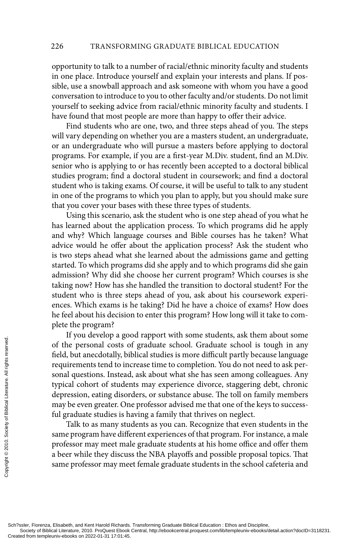opportunity to talk to a number of racial/ethnic minority faculty and students in one place. Introduce yourself and explain your interests and plans. If possible, use a snowball approach and ask someone with whom you have a good conversation to introduce to you to other faculty and/or students. Do not limit yourself to seeking advice from racial/ethnic minority faculty and students. I have found that most people are more than happy to offer their advice.

Find students who are one, two, and three steps ahead of you. The steps will vary depending on whether you are a masters student, an undergraduate, or an undergraduate who will pursue a masters before applying to doctoral programs. For example, if you are a first-year M.Div. student, find an M.Div. senior who is applying to or has recently been accepted to a doctoral biblical studies program; find a doctoral student in coursework; and find a doctoral student who is taking exams. Of course, it will be useful to talk to any student in one of the programs to which you plan to apply, but you should make sure that you cover your bases with these three types of students.

Using this scenario, ask the student who is one step ahead of you what he has learned about the application process. To which programs did he apply and why? Which language courses and Bible courses has he taken? What advice would he offer about the application process? Ask the student who is two steps ahead what she learned about the admissions game and getting started. To which programs did she apply and to which programs did she gain admission? Why did she choose her current program? Which courses is she taking now? How has she handled the transition to doctoral student? For the student who is three steps ahead of you, ask about his coursework experiences. Which exams is he taking? Did he have a choice of exams? How does he feel about his decision to enter this program? How long will it take to complete the program?

If you develop a good rapport with some students, ask them about some of the personal costs of graduate school. Graduate school is tough in any field, but anecdotally, biblical studies is more difficult partly because language requirements tend to increase time to completion. You do not need to ask personal questions. Instead, ask about what she has seen among colleagues. Any typical cohort of students may experience divorce, staggering debt, chronic depression, eating disorders, or substance abuse. The toll on family members may be even greater. One professor advised me that one of the keys to successful graduate studies is having a family that thrives on neglect. CREAT FORMAT FROM THE POSTABLE SURFACT AND THAT AND THAT AND THAT AND THAT AND THAT AND THAT AND THAT AND THAT AND SAMELY SOCIETY OF THAT AND A DEPTH SAMELY SOCIETY OF THAT A BOOK SAMELY SOCIETY OF THAT ALL RIGHTS SOCIETY

Talk to as many students as you can. Recognize that even students in the same program have different experiences of that program. For instance, a male professor may meet male graduate students at his home office and offer them a beer while they discuss the NBA playoffs and possible proposal topics. That same professor may meet female graduate students in the school cafeteria and

Sch?ssler, Fiorenza, Elisabeth, and Kent Harold Richards. Transforming Graduate Biblical Education : Ethos and Discipline,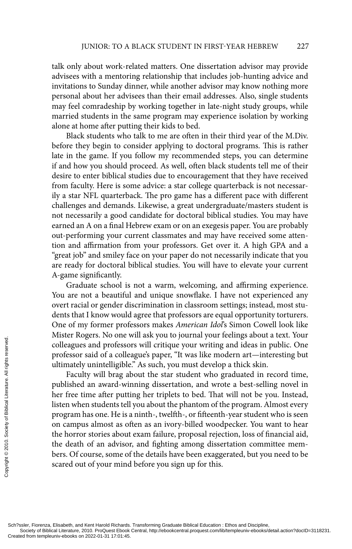talk only about work-related matters. One dissertation advisor may provide advisees with a mentoring relationship that includes job-hunting advice and invitations to Sunday dinner, while another advisor may know nothing more personal about her advisees than their email addresses. Also, single students may feel comradeship by working together in late-night study groups, while married students in the same program may experience isolation by working alone at home after putting their kids to bed.

Black students who talk to me are often in their third year of the M.Div. before they begin to consider applying to doctoral programs. This is rather late in the game. If you follow my recommended steps, you can determine if and how you should proceed. As well, often black students tell me of their desire to enter biblical studies due to encouragement that they have received from faculty. Here is some advice: a star college quarterback is not necessarily a star NFL quarterback. The pro game has a different pace with different challenges and demands. Likewise, a great undergraduate/masters student is not necessarily a good candidate for doctoral biblical studies. You may have earned an A on a final Hebrew exam or on an exegesis paper. You are probably out-performing your current classmates and may have received some attention and affirmation from your professors. Get over it. A high GPA and a "great job" and smiley face on your paper do not necessarily indicate that you are ready for doctoral biblical studies. You will have to elevate your current A-game significantly.

Graduate school is not a warm, welcoming, and affirming experience. You are not a beautiful and unique snowflake. I have not experienced any overt racial or gender discrimination in classroom settings; instead, most students that I know would agree that professors are equal opportunity torturers. One of my former professors makes *American Idol*'s Simon Cowell look like Mister Rogers. No one will ask you to journal your feelings about a text. Your colleagues and professors will critique your writing and ideas in public. One professor said of a colleague's paper, "It was like modern art—interesting but ultimately unintelligible." As such, you must develop a thick skin.

Faculty will brag about the star student who graduated in record time, published an award-winning dissertation, and wrote a best-selling novel in her free time after putting her triplets to bed. That will not be you. Instead, listen when students tell you about the phantom of the program. Almost every program has one. He is a ninth-, twelfth-, or fifteenth-year student who is seen on campus almost as often as an ivory-billed woodpecker. You want to hear the horror stories about exam failure, proposal rejection, loss of financial aid, the death of an advisor, and fighting among dissertation committee members. Of course, some of the details have been exaggerated, but you need to be scared out of your mind before you sign up for this. Created from templeuniv-ebooks on 2022-01-31 17:01:45. Copyright © 2010. Society of Biblical Literature. All rights reserved.

Sch?ssler, Fiorenza, Elisabeth, and Kent Harold Richards. Transforming Graduate Biblical Education : Ethos and Discipline,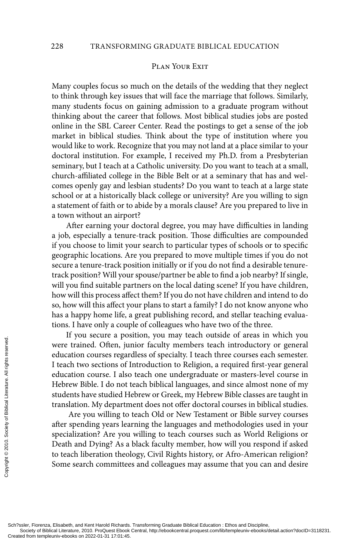## PLAN YOUR EXIT

Many couples focus so much on the details of the wedding that they neglect to think through key issues that will face the marriage that follows. Similarly, many students focus on gaining admission to a graduate program without thinking about the career that follows. Most biblical studies jobs are posted online in the SBL Career Center. Read the postings to get a sense of the job market in biblical studies. Think about the type of institution where you would like to work. Recognize that you may not land at a place similar to your doctoral institution. For example, I received my Ph.D. from a Presbyterian seminary, but I teach at a Catholic university. Do you want to teach at a small, church-affiliated college in the Bible Belt or at a seminary that has and welcomes openly gay and lesbian students? Do you want to teach at a large state school or at a historically black college or university? Are you willing to sign a statement of faith or to abide by a morals clause? Are you prepared to live in a town without an airport?

After earning your doctoral degree, you may have difficulties in landing a job, especially a tenure-track position. Those difficulties are compounded if you choose to limit your search to particular types of schools or to specific geographic locations. Are you prepared to move multiple times if you do not secure a tenure-track position initially or if you do not find a desirable tenuretrack position? Will your spouse/partner be able to find a job nearby? If single, will you find suitable partners on the local dating scene? If you have children, how will this process affect them? If you do not have children and intend to do so, how will this affect your plans to start a family? I do not know anyone who has a happy home life, a great publishing record, and stellar teaching evaluations. I have only a couple of colleagues who have two of the three.

If you secure a position, you may teach outside of areas in which you were trained. Often, junior faculty members teach introductory or general education courses regardless of specialty. I teach three courses each semester. I teach two sections of Introduction to Religion, a required first-year general education course. I also teach one undergraduate or masters-level course in Hebrew Bible. I do not teach biblical languages, and since almost none of my students have studied Hebrew or Greek, my Hebrew Bible classes are taught in translation. My department does not offer doctoral courses in biblical studies. CREAT FROM THE POSTAGE THE POSTAGE THE POSTAGE THE POSTAGE THE POSTAGE THE POSTAGE THE CHARGE THE CHARGE THE CHARGE THE CHARGE THE CHARGE THE COPYRIGHT Are you willing to after spending years lead specialization? Are you

 Are you willing to teach Old or New Testament or Bible survey courses after spending years learning the languages and methodologies used in your specialization? Are you willing to teach courses such as World Religions or Death and Dying? As a black faculty member, how will you respond if asked to teach liberation theology, Civil Rights history, or Afro-American religion? Some search committees and colleagues may assume that you can and desire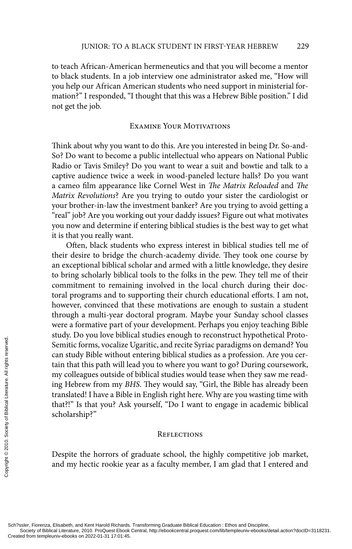to teach African-American hermeneutics and that you will become a mentor to black students. In a job interview one administrator asked me, "How will you help our African American students who need support in ministerial formation?" I responded, "I thought that this was a Hebrew Bible position." I did not get the job.

#### Examine Your Motivations

Think about why you want to do this. Are you interested in being Dr. So-and-So? Do want to become a public intellectual who appears on National Public Radio or Tavis Smiley? Do you want to wear a suit and bowtie and talk to a captive audience twice a week in wood-paneled lecture halls? Do you want a cameo film appearance like Cornel West in *The Matrix Reloaded* and *The Matrix Revolutions*? Are you trying to outdo your sister the cardiologist or your brother-in-law the investment banker? Are you trying to avoid getting a "real" job? Are you working out your daddy issues? Figure out what motivates you now and determine if entering biblical studies is the best way to get what it is that you really want.

Often, black students who express interest in biblical studies tell me of their desire to bridge the church-academy divide. They took one course by an exceptional biblical scholar and armed with a little knowledge, they desire to bring scholarly biblical tools to the folks in the pew. They tell me of their commitment to remaining involved in the local church during their doctoral programs and to supporting their church educational efforts. I am not, however, convinced that these motivations are enough to sustain a student through a multi-year doctoral program. Maybe your Sunday school classes were a formative part of your development. Perhaps you enjoy teaching Bible study. Do you love biblical studies enough to reconstruct hypothetical Proto-Semitic forms, vocalize Ugaritic, and recite Syriac paradigms on demand? You can study Bible without entering biblical studies as a profession. Are you certain that this path will lead you to where you want to go? During coursework, my colleagues outside of biblical studies would tease when they saw me reading Hebrew from my *BHS*. They would say, "Girl, the Bible has already been translated! I have a Bible in English right here. Why are you wasting time with that?!" Is that you? Ask yourself, "Do I want to engage in academic biblical scholarship?" Created from templeuniv-ebooks on 2022-01-31 17:01:45.<br>
Created from templeuniv-ebooks on 2022-01-31 17:01:45.<br>
Created from templeuniv-ebooks on 2022-01-31 17:01:45.<br>
Created from templeuniv-ebooks on 2022-01-31 17:01:45

# **REFLECTIONS**

Despite the horrors of graduate school, the highly competitive job market, and my hectic rookie year as a faculty member, I am glad that I entered and

Sch?ssler, Fiorenza, Elisabeth, and Kent Harold Richards. Transforming Graduate Biblical Education : Ethos and Discipline,